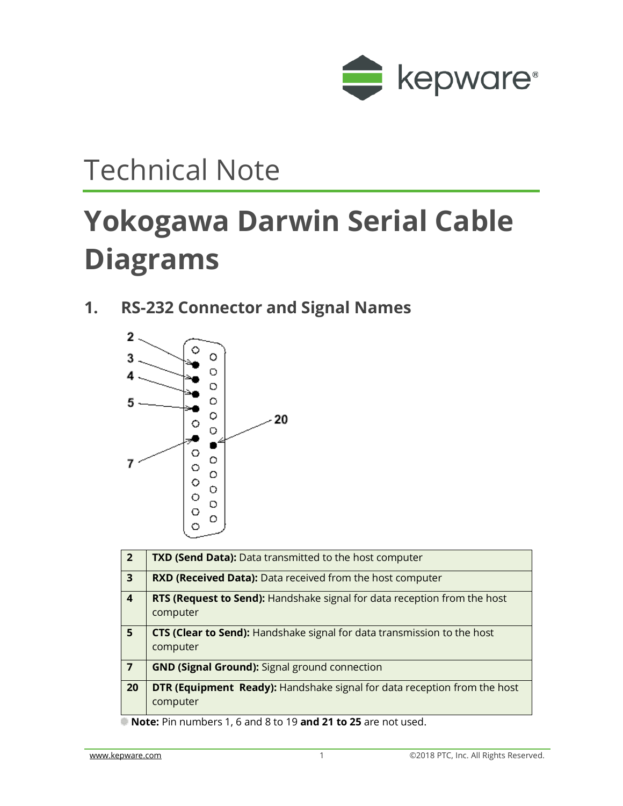

## Technical Note

# **Yokogawa Darwin Serial Cable Diagrams**

**1. RS-232 Connector and Signal Names**



| $\overline{2}$          | <b>TXD (Send Data):</b> Data transmitted to the host computer                               |
|-------------------------|---------------------------------------------------------------------------------------------|
| $\overline{3}$          | <b>RXD (Received Data):</b> Data received from the host computer                            |
| $\overline{\mathbf{4}}$ | RTS (Request to Send): Handshake signal for data reception from the host<br>computer        |
| 5                       | CTS (Clear to Send): Handshake signal for data transmission to the host<br>computer         |
| $\overline{7}$          | <b>GND (Signal Ground):</b> Signal ground connection                                        |
| 20                      | <b>DTR (Equipment Ready):</b> Handshake signal for data reception from the host<br>computer |

**Note:** Pin numbers 1, 6 and 8 to 19 **and 21 to 25** are not used.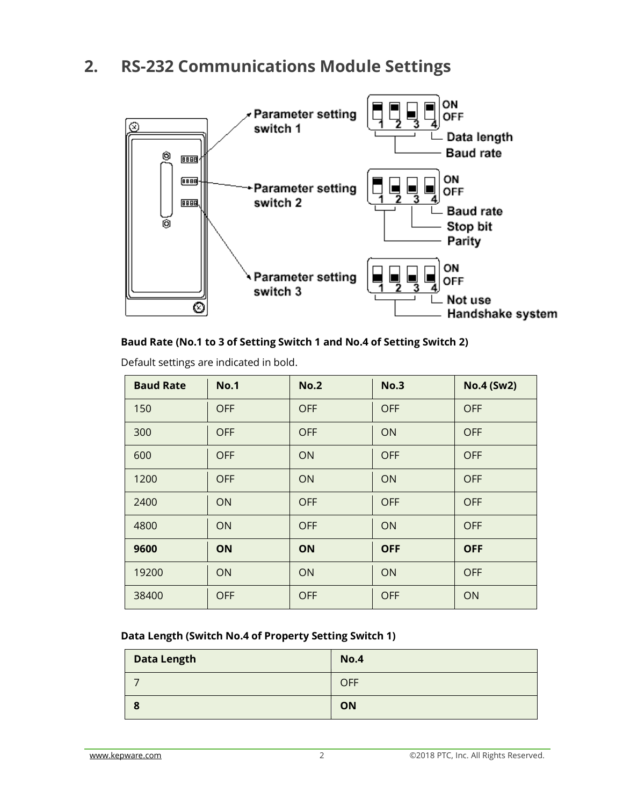### **2. RS-232 Communications Module Settings**



### **Baud Rate (No.1 to 3 of Setting Switch 1 and No.4 of Setting Switch 2)**

| <b>Baud Rate</b> | <b>No.1</b> | <b>No.2</b> | <b>No.3</b> | <b>No.4 (Sw2)</b> |
|------------------|-------------|-------------|-------------|-------------------|
| 150              | <b>OFF</b>  | <b>OFF</b>  | <b>OFF</b>  | <b>OFF</b>        |
| 300              | <b>OFF</b>  | <b>OFF</b>  | ON          | <b>OFF</b>        |
| 600              | <b>OFF</b>  | ON          | <b>OFF</b>  | <b>OFF</b>        |
| 1200             | <b>OFF</b>  | ON          | ON          | <b>OFF</b>        |
| 2400             | ON          | <b>OFF</b>  | <b>OFF</b>  | <b>OFF</b>        |
| 4800             | ON          | <b>OFF</b>  | ON          | <b>OFF</b>        |
| 9600             | ON          | ON          | <b>OFF</b>  | <b>OFF</b>        |
| 19200            | ON          | ON          | ON          | <b>OFF</b>        |
| 38400            | <b>OFF</b>  | <b>OFF</b>  | <b>OFF</b>  | ON                |

Default settings are indicated in bold.

#### **Data Length (Switch No.4 of Property Setting Switch 1)**

| <b>Data Length</b> | <b>No.4</b> |
|--------------------|-------------|
|                    | <b>OFF</b>  |
| œ<br>O             | ON          |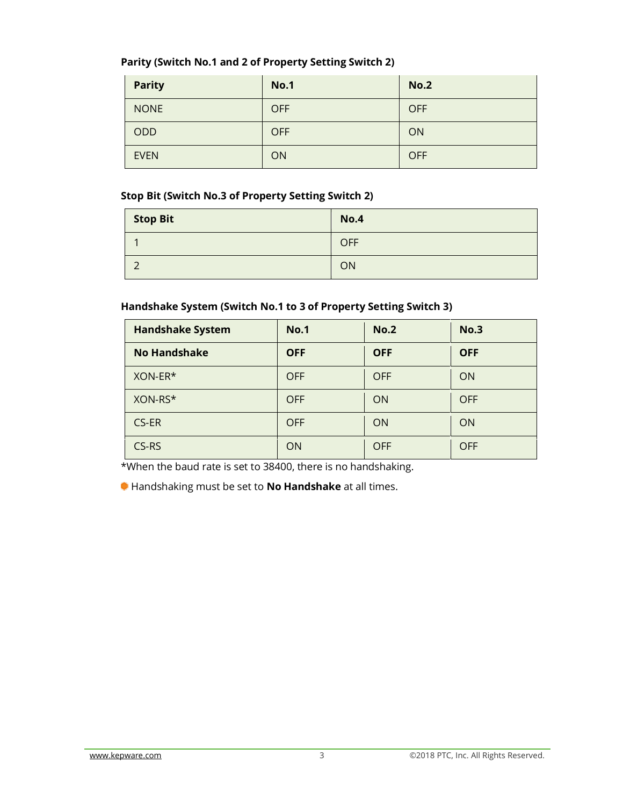### **Parity (Switch No.1 and 2 of Property Setting Switch 2)**

| <b>Parity</b> | <b>No.1</b> | <b>No.2</b> |
|---------------|-------------|-------------|
| <b>NONE</b>   | <b>OFF</b>  | <b>OFF</b>  |
| ODD           | <b>OFF</b>  | ON          |
| <b>EVEN</b>   | ON          | <b>OFF</b>  |

### **Stop Bit (Switch No.3 of Property Setting Switch 2)**

| Stop Bit | <b>No.4</b> |
|----------|-------------|
|          | <b>OFF</b>  |
| ∽        | ON          |

### **Handshake System (Switch No.1 to 3 of Property Setting Switch 3)**

| <b>Handshake System</b> | <b>No.1</b> | No.2       | No.3       |
|-------------------------|-------------|------------|------------|
| <b>No Handshake</b>     | <b>OFF</b>  | <b>OFF</b> | <b>OFF</b> |
| XON-ER*                 | <b>OFF</b>  | <b>OFF</b> | <b>ON</b>  |
| XON-RS*                 | <b>OFF</b>  | <b>ON</b>  | <b>OFF</b> |
| CS-ER                   | <b>OFF</b>  | ON         | <b>ON</b>  |
| CS-RS                   | <b>ON</b>   | <b>OFF</b> | <b>OFF</b> |

\*When the baud rate is set to 38400, there is no handshaking.

Handshaking must be set to **No Handshake** at all times.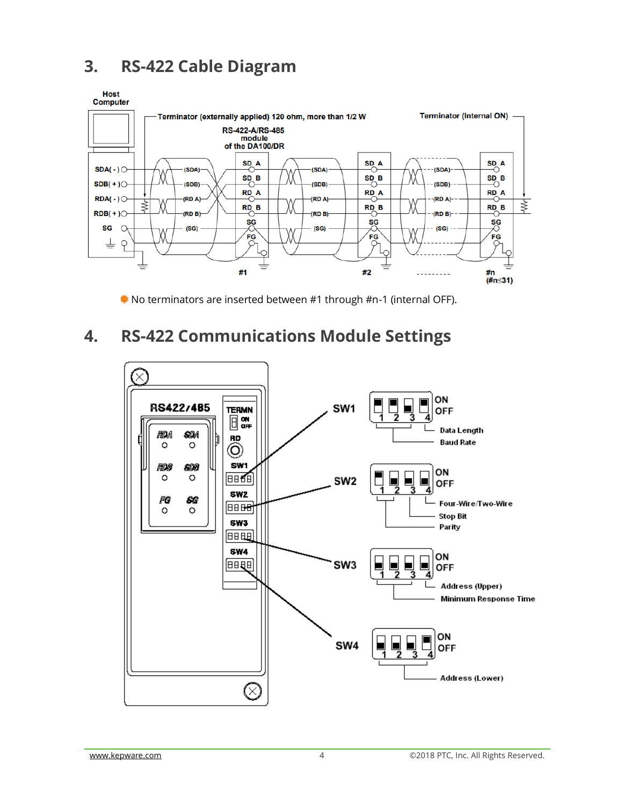### **3. RS-422 Cable Diagram**



No terminators are inserted between #1 through #n-1 (internal OFF).

### **4. RS-422 Communications Module Settings**

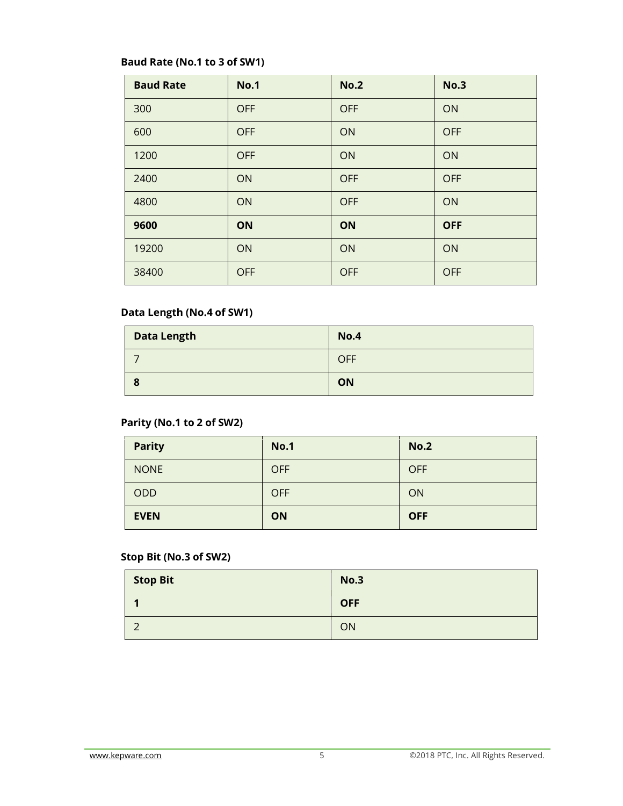### **Baud Rate (No.1 to 3 of SW1)**

| <b>Baud Rate</b> | <b>No.1</b> | <b>No.2</b> | <b>No.3</b> |
|------------------|-------------|-------------|-------------|
| 300              | <b>OFF</b>  | <b>OFF</b>  | ON          |
| 600              | <b>OFF</b>  | ON          | <b>OFF</b>  |
| 1200             | <b>OFF</b>  | ON          | ON          |
| 2400             | ON          | <b>OFF</b>  | <b>OFF</b>  |
| 4800             | ON          | <b>OFF</b>  | ON          |
| 9600             | ON          | ON          | <b>OFF</b>  |
| 19200            | ON          | ON          | ON          |
| 38400            | <b>OFF</b>  | <b>OFF</b>  | <b>OFF</b>  |

### **Data Length (No.4 of SW1)**

| <b>Data Length</b> | <b>No.4</b> |
|--------------------|-------------|
|                    | <b>OFF</b>  |
| 8                  | ON          |

### **Parity (No.1 to 2 of SW2)**

| <b>Parity</b> | <b>No.1</b> | <b>No.2</b> |
|---------------|-------------|-------------|
| <b>NONE</b>   | <b>OFF</b>  | <b>OFF</b>  |
| ODD           | <b>OFF</b>  | ON          |
| <b>EVEN</b>   | <b>ON</b>   | <b>OFF</b>  |

### **Stop Bit (No.3 of SW2)**

| <b>Stop Bit</b> | No.3       |
|-----------------|------------|
|                 | <b>OFF</b> |
| ∽               | ON         |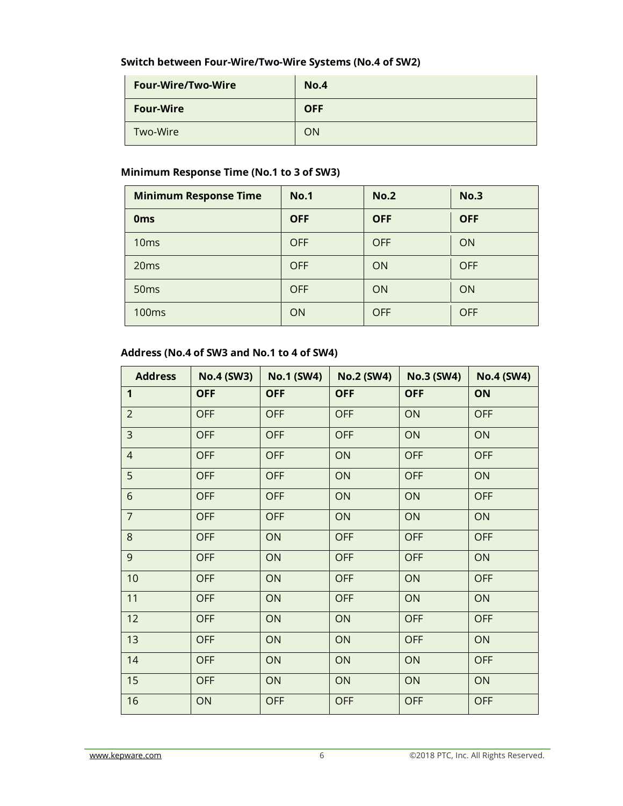#### **Switch between Four-Wire/Two-Wire Systems (No.4 of SW2)**

| <b>Four-Wire/Two-Wire</b> | <b>No.4</b> |
|---------------------------|-------------|
| <b>Four-Wire</b>          | <b>OFF</b>  |
| Two-Wire                  | ON          |

### **Minimum Response Time (No.1 to 3 of SW3)**

| <b>Minimum Response Time</b> | <b>No.1</b> | <b>No.2</b> | No.3       |
|------------------------------|-------------|-------------|------------|
| <b>Oms</b>                   | <b>OFF</b>  | <b>OFF</b>  | <b>OFF</b> |
| 10 <sub>ms</sub>             | <b>OFF</b>  | <b>OFF</b>  | <b>ON</b>  |
| 20 <sub>ms</sub>             | <b>OFF</b>  | <b>ON</b>   | <b>OFF</b> |
| 50 <sub>ms</sub>             | <b>OFF</b>  | <b>ON</b>   | <b>ON</b>  |
| 100 <sub>ms</sub>            | <b>ON</b>   | <b>OFF</b>  | <b>OFF</b> |

#### **Address (No.4 of SW3 and No.1 to 4 of SW4)**

| <b>Address</b> | <b>No.4 (SW3)</b> | <b>No.1 (SW4)</b> | <b>No.2 (SW4)</b> | <b>No.3 (SW4)</b> | <b>No.4 (SW4)</b> |
|----------------|-------------------|-------------------|-------------------|-------------------|-------------------|
| 1              | <b>OFF</b>        | <b>OFF</b>        | <b>OFF</b>        | <b>OFF</b>        | ON                |
| $\overline{2}$ | <b>OFF</b>        | <b>OFF</b>        | <b>OFF</b>        | ON                | <b>OFF</b>        |
| $\overline{3}$ | <b>OFF</b>        | <b>OFF</b>        | <b>OFF</b>        | ON                | ON                |
| $\overline{4}$ | <b>OFF</b>        | <b>OFF</b>        | ON                | <b>OFF</b>        | <b>OFF</b>        |
| 5              | <b>OFF</b>        | <b>OFF</b>        | ON                | <b>OFF</b>        | ON                |
| 6              | <b>OFF</b>        | <b>OFF</b>        | ON                | ON                | <b>OFF</b>        |
| $\overline{7}$ | <b>OFF</b>        | <b>OFF</b>        | ON                | ON                | ON                |
| 8              | <b>OFF</b>        | ON                | <b>OFF</b>        | <b>OFF</b>        | <b>OFF</b>        |
| 9              | <b>OFF</b>        | ON                | <b>OFF</b>        | <b>OFF</b>        | ON                |
| 10             | <b>OFF</b>        | ON                | <b>OFF</b>        | ON                | <b>OFF</b>        |
| 11             | <b>OFF</b>        | ON                | <b>OFF</b>        | ON                | ON                |
| 12             | <b>OFF</b>        | ON                | ON                | <b>OFF</b>        | <b>OFF</b>        |
| 13             | <b>OFF</b>        | ON                | ON                | <b>OFF</b>        | ON                |
| 14             | <b>OFF</b>        | ON                | ON                | ON                | <b>OFF</b>        |
| 15             | <b>OFF</b>        | ON                | ON                | ON                | ON                |
| 16             | ON                | <b>OFF</b>        | <b>OFF</b>        | <b>OFF</b>        | <b>OFF</b>        |